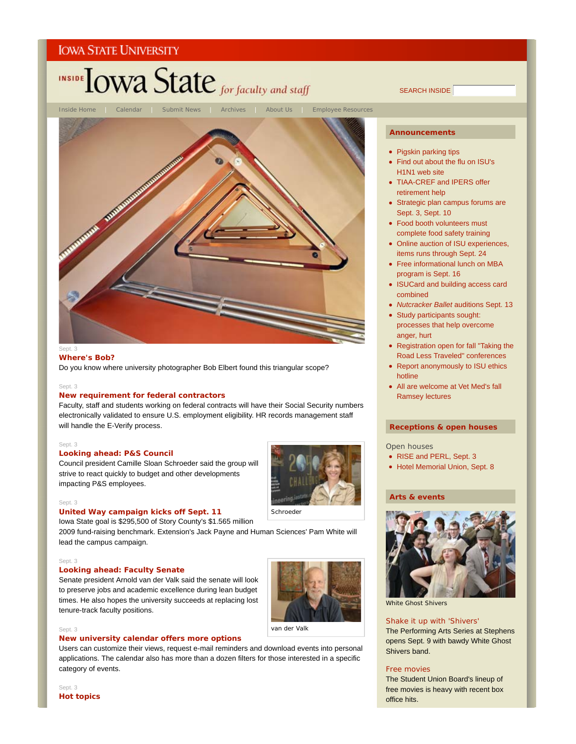

#### **Where's Bob?**

Do you know where university photographer Bob Elbert found this triangular scope?

#### Sept. 3

#### **New requirement for federal contractors**

Faculty, staff and students working on federal contracts will have their Social Security numbers electronically validated to ensure U.S. employment eligibility. HR records management staff will handle the E-Verify process.

#### Sept. 3

Sept. 3

#### **Looking ahead: P&S Council**

Council president Camille Sloan Schroeder said the group will strive to react quickly to budget and other developments impacting P&S employees.



#### Iowa State goal is \$295,500 of Story County's \$1.565 million

**United Way campaign kicks off Sept. 11**

2009 fund-raising benchmark. Extension's Jack Payne and Human Sciences' Pam White will lead the campus campaign.

#### Sept. 3

#### **Looking ahead: Faculty Senate**

Senate president Arnold van der Valk said the senate will look to preserve jobs and academic excellence during lean budget times. He also hopes the university succeeds at replacing lost tenure-track faculty positions.

#### van der Valk

#### Sept. 3

#### **New university calendar offers more options**

Users can customize their views, request e-mail reminders and download events into personal applications. The calendar also has more than a dozen filters for those interested in a specific category of events.

## SEARCH INSIDE

#### **Announcements**

- Pigskin parking tips
- Find out about the flu on ISU's H1N1 web site
- TIAA-CREF and IPERS offer retirement help
- Strategic plan campus forums are Sept. 3, Sept. 10
- Food booth volunteers must complete food safety training
- Online auction of ISU experiences, items runs through Sept. 24
- Free informational lunch on MBA program is Sept. 16
- ISUCard and building access card combined
- *Nutcracker Ballet* auditions Sept. 13
- Study participants sought: processes that help overcome anger, hurt
- Registration open for fall "Taking the Road Less Traveled" conferences
- Report anonymously to ISU ethics hotline
- All are welcome at Vet Med's fall Ramsey lectures

#### **Receptions & open houses**

Open houses

- RISE and PERL, Sept. 3
- Hotel Memorial Union, Sept. 8

#### **Arts & events**



White Ghost Shivers

#### Shake it up with 'Shivers'

The Performing Arts Series at Stephens opens Sept. 9 with bawdy White Ghost Shivers band.

#### Free movies

The Student Union Board's lineup of free movies is heavy with recent box office hits.

Sept. 3 **Hot topics**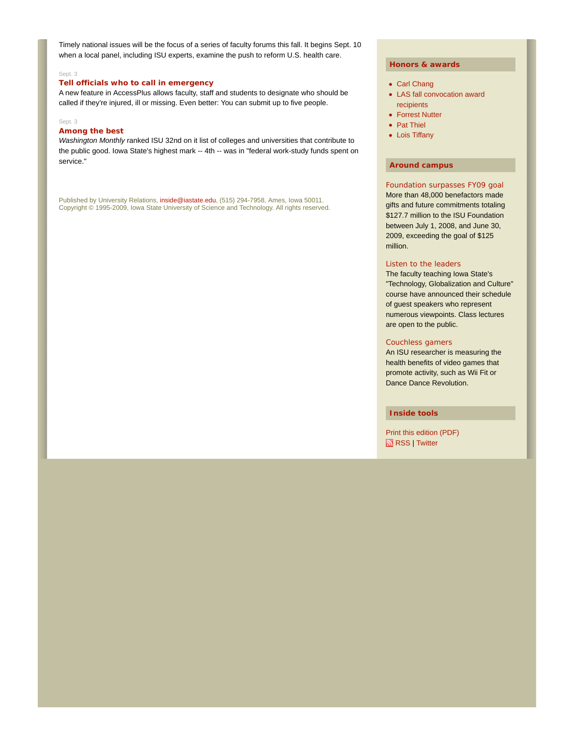Timely national issues will be the focus of a series of faculty forums this fall. It begins Sept. 10 when a local panel, including ISU experts, examine the push to reform U.S. health care.

#### Sept. 3

#### **Tell officials who to call in emergency**

A new feature in AccessPlus allows faculty, staff and students to designate who should be called if they're injured, ill or missing. Even better: You can submit up to five people.

#### Sept. 3

#### **Among the best**

*Washington Monthly* ranked ISU 32nd on it list of colleges and universities that contribute to the public good. Iowa State's highest mark -- 4th -- was in "federal work-study funds spent on service."

Published by University Relations, inside@iastate.edu, (515) 294-7958, Ames, Iowa 50011. Copyright © 1995-2009, Iowa State University of Science and Technology. All rights reserved.

#### **Honors & awards**

- Carl Chang
- LAS fall convocation award recipients
- Forrest Nutter
- Pat Thiel
- Lois Tiffany

#### **Around campus**

Foundation surpasses FY09 goal More than 48,000 benefactors made gifts and future commitments totaling \$127.7 million to the ISU Foundation between July 1, 2008, and June 30, 2009, exceeding the goal of \$125 million.

#### Listen to the leaders

The faculty teaching Iowa State's "Technology, Globalization and Culture" course have announced their schedule of guest speakers who represent numerous viewpoints. Class lectures are open to the public.

#### Couchless gamers

An ISU researcher is measuring the health benefits of video games that promote activity, such as Wii Fit or Dance Dance Revolution.

#### **Inside tools**

Print this edition (PDF) RSS | Twitter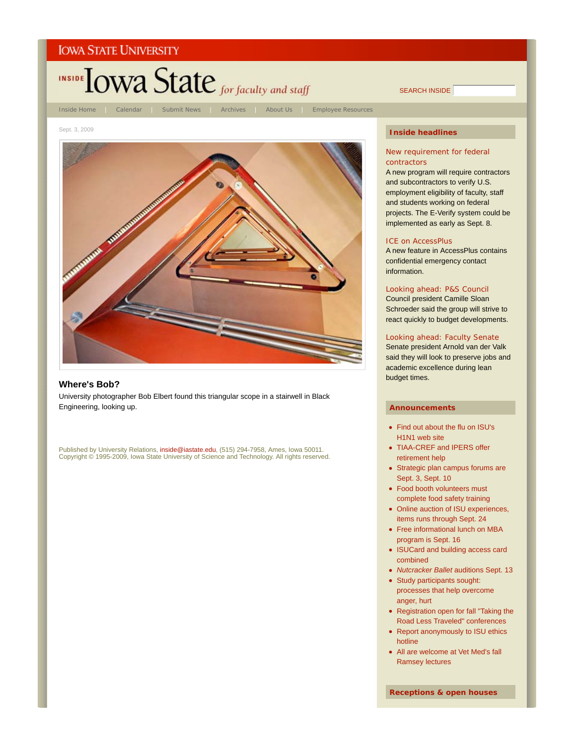



#### **Where's Bob?**

University photographer Bob Elbert found this triangular scope in a stairwell in Black Engineering, looking up.

Published by University Relations, i**nside@iastate.edu**, (515) 294-7958, Ames, Iowa 50011.<br>Copyright © 1995-2009, Iowa State University of Science and Technology. All rights reserved.

#### **Inside headlines**

SEARCH INSIDE

#### New requirement for federal contractors

A new program will require contractors and subcontractors to verify U.S. employment eligibility of faculty, staff and students working on federal projects. The E-Verify system could be implemented as early as Sept. 8.

#### ICE on AccessPlus

A new feature in AccessPlus contains confidential emergency contact information.

#### Looking ahead: P&S Council

Council president Camille Sloan Schroeder said the group will strive to react quickly to budget developments.

#### Looking ahead: Faculty Senate

Senate president Arnold van der Valk said they will look to preserve jobs and academic excellence during lean budget times.

#### **Announcements**

- Find out about the flu on ISU's H1N1 web site
- TIAA-CREF and IPERS offer retirement help
- Strategic plan campus forums are Sept. 3, Sept. 10
- Food booth volunteers must complete food safety training
- Online auction of ISU experiences, items runs through Sept. 24
- Free informational lunch on MBA program is Sept. 16
- ISUCard and building access card combined
- *Nutcracker Ballet* auditions Sept. 13
- Study participants sought: processes that help overcome anger, hurt
- Registration open for fall "Taking the Road Less Traveled" conferences
- Report anonymously to ISU ethics hotline
- All are welcome at Vet Med's fall Ramsey lectures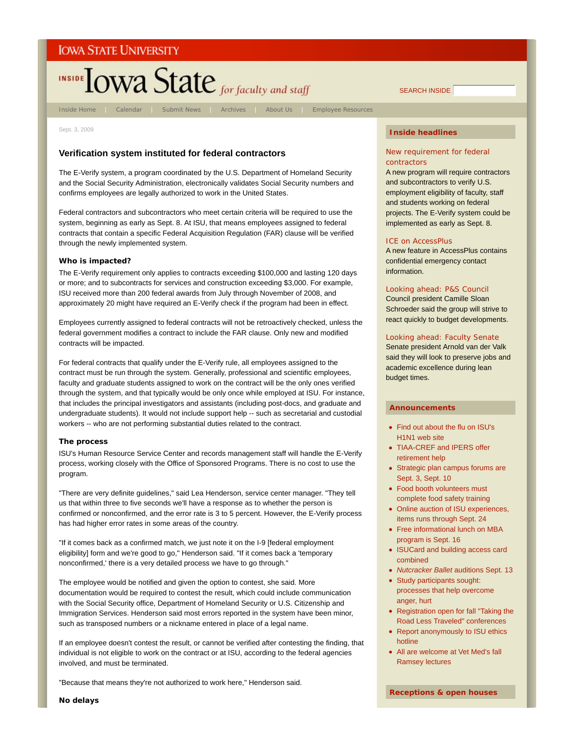# **INSIDE TOWA State** for faculty and staff

Inside Home | Calendar | Submit News | Archives | About Us | Employee Resources

Sept. 3, 2009

### **Verification system instituted for federal contractors**

The E-Verify system, a program coordinated by the U.S. Department of Homeland Security and the Social Security Administration, electronically validates Social Security numbers and confirms employees are legally authorized to work in the United States.

Federal contractors and subcontractors who meet certain criteria will be required to use the system, beginning as early as Sept. 8. At ISU, that means employees assigned to federal contracts that contain a specific Federal Acquisition Regulation (FAR) clause will be verified through the newly implemented system.

#### **Who is impacted?**

The E-Verify requirement only applies to contracts exceeding \$100,000 and lasting 120 days or more; and to subcontracts for services and construction exceeding \$3,000. For example, ISU received more than 200 federal awards from July through November of 2008, and approximately 20 might have required an E-Verify check if the program had been in effect.

Employees currently assigned to federal contracts will not be retroactively checked, unless the federal government modifies a contract to include the FAR clause. Only new and modified contracts will be impacted.

For federal contracts that qualify under the E-Verify rule, all employees assigned to the contract must be run through the system. Generally, professional and scientific employees, faculty and graduate students assigned to work on the contract will be the only ones verified through the system, and that typically would be only once while employed at ISU. For instance, that includes the principal investigators and assistants (including post-docs, and graduate and undergraduate students). It would not include support help -- such as secretarial and custodial workers -- who are not performing substantial duties related to the contract.

#### **The process**

ISU's Human Resource Service Center and records management staff will handle the E-Verify process, working closely with the Office of Sponsored Programs. There is no cost to use the program.

"There are very definite guidelines," said Lea Henderson, service center manager. "They tell us that within three to five seconds we'll have a response as to whether the person is confirmed or nonconfirmed, and the error rate is 3 to 5 percent. However, the E-Verify process has had higher error rates in some areas of the country.

"If it comes back as a confirmed match, we just note it on the I-9 [federal employment eligibility] form and we're good to go," Henderson said. "If it comes back a 'temporary nonconfirmed,' there is a very detailed process we have to go through."

The employee would be notified and given the option to contest, she said. More documentation would be required to contest the result, which could include communication with the Social Security office, Department of Homeland Security or U.S. Citizenship and Immigration Services. Henderson said most errors reported in the system have been minor, such as transposed numbers or a nickname entered in place of a legal name.

If an employee doesn't contest the result, or cannot be verified after contesting the finding, that individual is not eligible to work on the contract or at ISU, according to the federal agencies involved, and must be terminated.

"Because that means they're not authorized to work here," Henderson said.

#### **Inside headlines**

SEARCH INSIDE

#### New requirement for federal contractors

A new program will require contractors and subcontractors to verify U.S. employment eligibility of faculty, staff and students working on federal projects. The E-Verify system could be implemented as early as Sept. 8.

#### ICE on AccessPlus

A new feature in AccessPlus contains confidential emergency contact information.

#### Looking ahead: P&S Council

Council president Camille Sloan Schroeder said the group will strive to react quickly to budget developments.

#### Looking ahead: Faculty Senate

Senate president Arnold van der Valk said they will look to preserve jobs and academic excellence during lean budget times.

#### **Announcements**

- Find out about the flu on ISU's H1N1 web site
- TIAA-CREF and IPERS offer retirement help
- Strategic plan campus forums are Sept. 3, Sept. 10
- Food booth volunteers must complete food safety training
- Online auction of ISU experiences, items runs through Sept. 24
- Free informational lunch on MBA program is Sept. 16
- ISUCard and building access card combined
- *Nutcracker Ballet* auditions Sept. 13
- Study participants sought: processes that help overcome anger, hurt
- Registration open for fall "Taking the Road Less Traveled" conferences
- Report anonymously to ISU ethics hotline
- All are welcome at Vet Med's fall Ramsey lectures

**Receptions & open houses**

**No delays**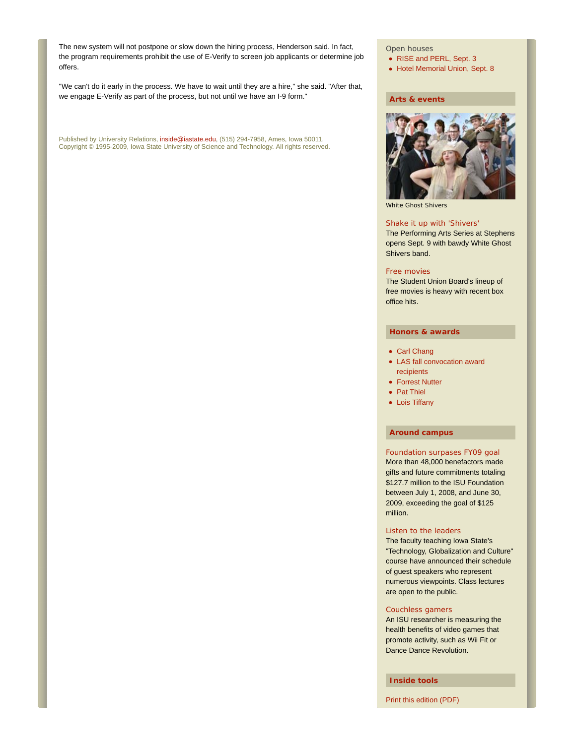The new system will not postpone or slow down the hiring process, Henderson said. In fact, the program requirements prohibit the use of E-Verify to screen job applicants or determine job offers.

"We can't do it early in the process. We have to wait until they are a hire," she said. "After that, we engage E-Verify as part of the process, but not until we have an I-9 form."

Published by University Relations, inside@iastate.edu, (515) 294-7958, Ames, Iowa 50011. Copyright © 1995-2009, Iowa State University of Science and Technology. All rights reserved.

#### Open houses

- RISE and PERL, Sept. 3
- Hotel Memorial Union, Sept. 8

#### **Arts & events**



White Ghost Shivers

#### Shake it up with 'Shivers'

The Performing Arts Series at Stephens opens Sept. 9 with bawdy White Ghost Shivers band.

#### Free movies

The Student Union Board's lineup of free movies is heavy with recent box office hits.

#### **Honors & awards**

- Carl Chang
- LAS fall convocation award recipients
- Forrest Nutter
- Pat Thiel
- Lois Tiffany

#### **Around campus**

#### Foundation surpases FY09 goal

More than 48,000 benefactors made gifts and future commitments totaling \$127.7 million to the ISU Foundation between July 1, 2008, and June 30, 2009, exceeding the goal of \$125 million.

#### Listen to the leaders

The faculty teaching Iowa State's "Technology, Globalization and Culture" course have announced their schedule of guest speakers who represent numerous viewpoints. Class lectures are open to the public.

#### Couchless gamers

An ISU researcher is measuring the health benefits of video games that promote activity, such as Wii Fit or Dance Dance Revolution.

**Inside tools**

Print this edition (PDF)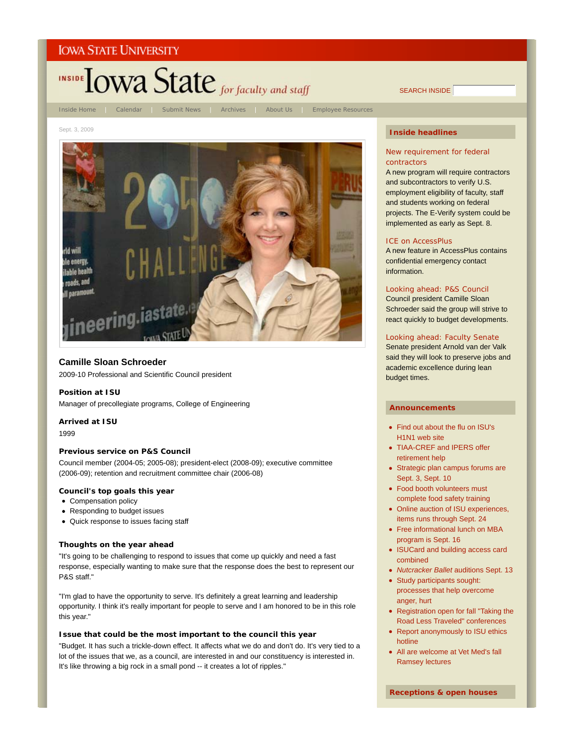

SEARCH INSIDE

#### Sept. 3, 2009



#### **Camille Sloan Schroeder**

2009-10 Professional and Scientific Council president

#### **Position at ISU**

Manager of precollegiate programs, College of Engineering

#### **Arrived at ISU**

1999

#### **Previous service on P&S Council**

Council member (2004-05; 2005-08); president-elect (2008-09); executive committee (2006-09); retention and recruitment committee chair (2006-08)

#### **Council's top goals this year**

- Compensation policy
- Responding to budget issues
- Quick response to issues facing staff

#### **Thoughts on the year ahead**

"It's going to be challenging to respond to issues that come up quickly and need a fast response, especially wanting to make sure that the response does the best to represent our P&S staff."

"I'm glad to have the opportunity to serve. It's definitely a great learning and leadership opportunity. I think it's really important for people to serve and I am honored to be in this role this year."

#### **Issue that could be the most important to the council this year**

"Budget. It has such a trickle-down effect. It affects what we do and don't do. It's very tied to a lot of the issues that we, as a council, are interested in and our constituency is interested in. It's like throwing a big rock in a small pond -- it creates a lot of ripples."

#### **Inside headlines**

#### New requirement for federal contractors

A new program will require contractors and subcontractors to verify U.S. employment eligibility of faculty, staff and students working on federal projects. The E-Verify system could be implemented as early as Sept. 8.

#### ICE on AccessPlus

A new feature in AccessPlus contains confidential emergency contact information.

#### Looking ahead: P&S Council

Council president Camille Sloan Schroeder said the group will strive to react quickly to budget developments.

#### Looking ahead: Faculty Senate

Senate president Arnold van der Valk said they will look to preserve jobs and academic excellence during lean budget times.

#### **Announcements**

- Find out about the flu on ISU's H1N1 web site
- TIAA-CREF and IPERS offer retirement help
- Strategic plan campus forums are Sept. 3, Sept. 10
- Food booth volunteers must complete food safety training
- Online auction of ISU experiences, items runs through Sept. 24
- Free informational lunch on MBA program is Sept. 16
- ISUCard and building access card combined
- *Nutcracker Ballet* auditions Sept. 13
- Study participants sought: processes that help overcome anger, hurt
- Registration open for fall "Taking the Road Less Traveled" conferences
- Report anonymously to ISU ethics hotline
- All are welcome at Vet Med's fall Ramsey lectures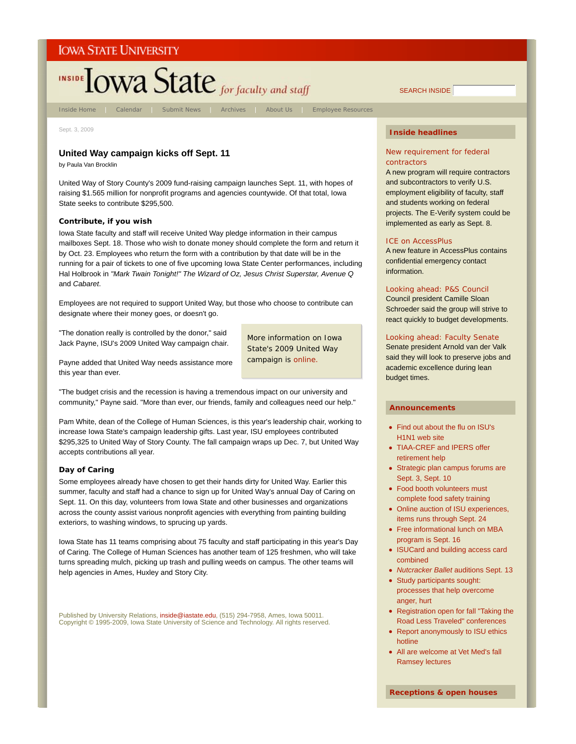

Inside Home | Calendar | Submit News | Archives | About Us | Employee Resources

Sept. 3, 2009

#### **United Way campaign kicks off Sept. 11**

by Paula Van Brocklin

United Way of Story County's 2009 fund-raising campaign launches Sept. 11, with hopes of raising \$1.565 million for nonprofit programs and agencies countywide. Of that total, Iowa State seeks to contribute \$295,500.

#### **Contribute, if you wish**

Iowa State faculty and staff will receive United Way pledge information in their campus mailboxes Sept. 18. Those who wish to donate money should complete the form and return it by Oct. 23. Employees who return the form with a contribution by that date will be in the running for a pair of tickets to one of five upcoming Iowa State Center performances, including Hal Holbrook in *"Mark Twain Tonight!" The Wizard of Oz, Jesus Christ Superstar, Avenue Q* and *Cabaret*.

Employees are not required to support United Way, but those who choose to contribute can designate where their money goes, or doesn't go.

"The donation really is controlled by the donor," said Jack Payne, ISU's 2009 United Way campaign chair.

More information on Iowa State's 2009 United Way campaign is online.

Payne added that United Way needs assistance more this year than ever.

"The budget crisis and the recession is having a tremendous impact on our university and community," Payne said. "More than ever, our friends, family and colleagues need our help."

Pam White, dean of the College of Human Sciences, is this year's leadership chair, working to increase Iowa State's campaign leadership gifts. Last year, ISU employees contributed \$295,325 to United Way of Story County. The fall campaign wraps up Dec. 7, but United Way accepts contributions all year.

#### **Day of Caring**

Some employees already have chosen to get their hands dirty for United Way. Earlier this summer, faculty and staff had a chance to sign up for United Way's annual Day of Caring on Sept. 11. On this day, volunteers from Iowa State and other businesses and organizations across the county assist various nonprofit agencies with everything from painting building exteriors, to washing windows, to sprucing up yards.

Iowa State has 11 teams comprising about 75 faculty and staff participating in this year's Day of Caring. The College of Human Sciences has another team of 125 freshmen, who will take turns spreading mulch, picking up trash and pulling weeds on campus. The other teams will help agencies in Ames, Huxley and Story City.

Published by University Relations, inside@iastate.edu, (515) 294-7958, Ames, Iowa 50011. Copyright © 1995-2009, Iowa State University of Science and Technology. All rights reserved.

#### **Inside headlines**

#### New requirement for federal contractors

A new program will require contractors and subcontractors to verify U.S. employment eligibility of faculty, staff and students working on federal projects. The E-Verify system could be implemented as early as Sept. 8.

#### ICE on AccessPlus

A new feature in AccessPlus contains confidential emergency contact information.

#### Looking ahead: P&S Council

Council president Camille Sloan Schroeder said the group will strive to react quickly to budget developments.

#### Looking ahead: Faculty Senate

Senate president Arnold van der Valk said they will look to preserve jobs and academic excellence during lean budget times.

#### **Announcements**

- Find out about the flu on ISU's H1N1 web site
- TIAA-CREF and IPERS offer retirement help
- Strategic plan campus forums are Sept. 3, Sept. 10
- Food booth volunteers must complete food safety training
- Online auction of ISU experiences, items runs through Sept. 24
- Free informational lunch on MBA program is Sept. 16
- ISUCard and building access card combined
- *Nutcracker Ballet* auditions Sept. 13
- Study participants sought: processes that help overcome anger, hurt
- Registration open for fall "Taking the Road Less Traveled" conferences
- Report anonymously to ISU ethics hotline
- All are welcome at Vet Med's fall Ramsey lectures

SEARCH INSIDE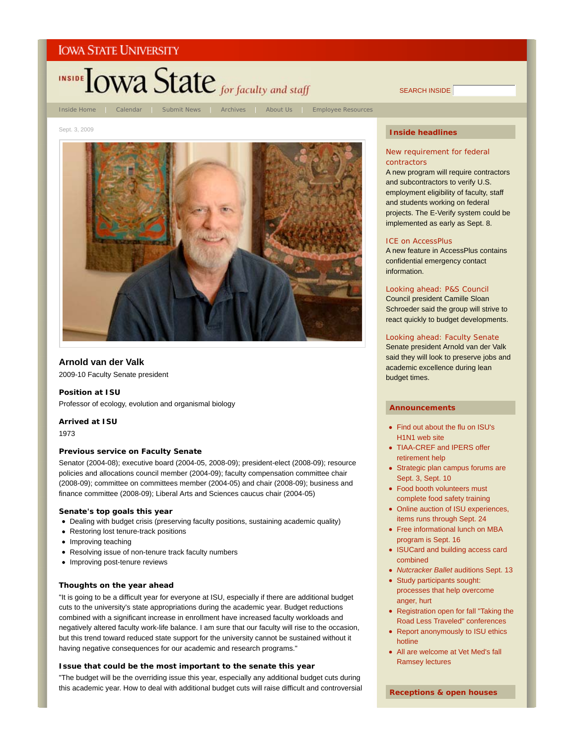

SEARCH INSIDE

Sept. 3, 2009



### **Arnold van der Valk**

2009-10 Faculty Senate president

#### **Position at ISU**

Professor of ecology, evolution and organismal biology

#### **Arrived at ISU**

1973

#### **Previous service on Faculty Senate**

Senator (2004-08); executive board (2004-05, 2008-09); president-elect (2008-09); resource policies and allocations council member (2004-09); faculty compensation committee chair (2008-09); committee on committees member (2004-05) and chair (2008-09); business and finance committee (2008-09); Liberal Arts and Sciences caucus chair (2004-05)

#### **Senate's top goals this year**

- Dealing with budget crisis (preserving faculty positions, sustaining academic quality)
- Restoring lost tenure-track positions
- Improving teaching
- Resolving issue of non-tenure track faculty numbers
- Improving post-tenure reviews

#### **Thoughts on the year ahead**

"It is going to be a difficult year for everyone at ISU, especially if there are additional budget cuts to the university's state appropriations during the academic year. Budget reductions combined with a significant increase in enrollment have increased faculty workloads and negatively altered faculty work-life balance. I am sure that our faculty will rise to the occasion, but this trend toward reduced state support for the university cannot be sustained without it having negative consequences for our academic and research programs."

#### **Issue that could be the most important to the senate this year**

"The budget will be the overriding issue this year, especially any additional budget cuts during this academic year. How to deal with additional budget cuts will raise difficult and controversial

#### **Inside headlines**

#### New requirement for federal contractors

A new program will require contractors and subcontractors to verify U.S. employment eligibility of faculty, staff and students working on federal projects. The E-Verify system could be implemented as early as Sept. 8.

#### ICE on AccessPlus

A new feature in AccessPlus contains confidential emergency contact information.

#### Looking ahead: P&S Council

Council president Camille Sloan Schroeder said the group will strive to react quickly to budget developments.

#### Looking ahead: Faculty Senate

Senate president Arnold van der Valk said they will look to preserve jobs and academic excellence during lean budget times.

#### **Announcements**

- Find out about the flu on ISU's H1N1 web site
- TIAA-CREF and IPERS offer retirement help
- Strategic plan campus forums are Sept. 3, Sept. 10
- Food booth volunteers must complete food safety training
- Online auction of ISU experiences, items runs through Sept. 24
- Free informational lunch on MBA program is Sept. 16
- ISUCard and building access card combined
- *Nutcracker Ballet* auditions Sept. 13
- Study participants sought: processes that help overcome anger, hurt
- Registration open for fall "Taking the Road Less Traveled" conferences
- Report anonymously to ISU ethics hotline
- All are welcome at Vet Med's fall Ramsey lectures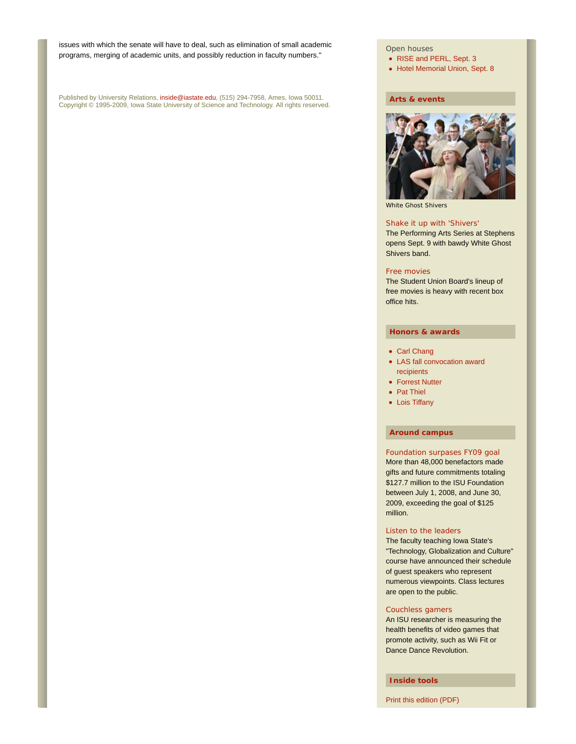issues with which the senate will have to deal, such as elimination of small academic programs, merging of academic units, and possibly reduction in faculty numbers."

Published by University Relations, inside@iastate.edu, (515) 294-7958, Ames, Iowa 50011. Copyright © 1995-2009, Iowa State University of Science and Technology. All rights reserved.

#### Open houses

• RISE and PERL, Sept. 3

• Hotel Memorial Union, Sept. 8

#### **Arts & events**



White Ghost Shivers

#### Shake it up with 'Shivers'

The Performing Arts Series at Stephens opens Sept. 9 with bawdy White Ghost Shivers band.

#### Free movies

The Student Union Board's lineup of free movies is heavy with recent box office hits.

#### **Honors & awards**

- Carl Chang
- LAS fall convocation award recipients
- Forrest Nutter
- Pat Thiel
- Lois Tiffany

#### **Around campus**

#### Foundation surpases FY09 goal

More than 48,000 benefactors made gifts and future commitments totaling \$127.7 million to the ISU Foundation between July 1, 2008, and June 30, 2009, exceeding the goal of \$125 million.

#### Listen to the leaders

The faculty teaching Iowa State's "Technology, Globalization and Culture" course have announced their schedule of guest speakers who represent numerous viewpoints. Class lectures are open to the public.

#### Couchless gamers

An ISU researcher is measuring the health benefits of video games that promote activity, such as Wii Fit or Dance Dance Revolution.

**Inside tools**

Print this edition (PDF)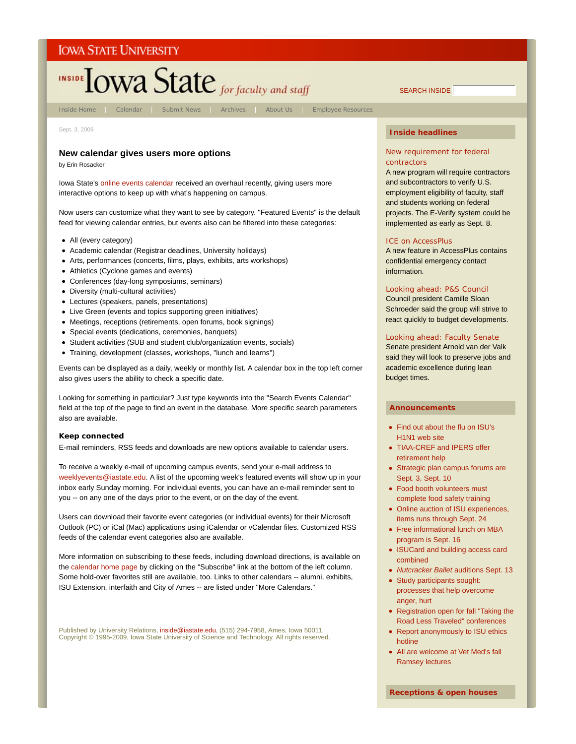

#### **New calendar gives users more options**

by Erin Rosacker

Iowa State's online events calendar received an overhaul recently, giving users more interactive options to keep up with what's happening on campus.

Now users can customize what they want to see by category. "Featured Events" is the default feed for viewing calendar entries, but events also can be filtered into these categories:

- All (every category)
- Academic calendar (Registrar deadlines, University holidays)
- Arts, performances (concerts, films, plays, exhibits, arts workshops)
- Athletics (Cyclone games and events)
- Conferences (day-long symposiums, seminars)
- Diversity (multi-cultural activities)
- Lectures (speakers, panels, presentations)
- Live Green (events and topics supporting green initiatives)
- Meetings, receptions (retirements, open forums, book signings)
- Special events (dedications, ceremonies, banquets)
- Student activities (SUB and student club/organization events, socials)
- Training, development (classes, workshops, "lunch and learns")

Events can be displayed as a daily, weekly or monthly list. A calendar box in the top left corner also gives users the ability to check a specific date.

Looking for something in particular? Just type keywords into the "Search Events Calendar" field at the top of the page to find an event in the database. More specific search parameters also are available.

#### **Keep connected**

E-mail reminders, RSS feeds and downloads are new options available to calendar users.

To receive a weekly e-mail of upcoming campus events, send your e-mail address to weeklyevents@iastate.edu. A list of the upcoming week's featured events will show up in your inbox early Sunday morning. For individual events, you can have an e-mail reminder sent to you -- on any one of the days prior to the event, or on the day of the event.

Users can download their favorite event categories (or individual events) for their Microsoft Outlook (PC) or iCal (Mac) applications using iCalendar or vCalendar files. Customized RSS feeds of the calendar event categories also are available.

More information on subscribing to these feeds, including download directions, is available on the calendar home page by clicking on the "Subscribe" link at the bottom of the left column. Some hold-over favorites still are available, too. Links to other calendars -- alumni, exhibits, ISU Extension, interfaith and City of Ames -- are listed under "More Calendars."

Published by University Relations, inside@iastate.edu, (515) 294-7958, Ames, Iowa 50011. Copyright © 1995-2009, Iowa State University of Science and Technology. All rights reserved.

#### **Inside headlines**

#### New requirement for federal contractors

A new program will require contractors and subcontractors to verify U.S. employment eligibility of faculty, staff and students working on federal projects. The E-Verify system could be implemented as early as Sept. 8.

#### ICE on AccessPlus

A new feature in AccessPlus contains confidential emergency contact information.

#### Looking ahead: P&S Council

Council president Camille Sloan Schroeder said the group will strive to react quickly to budget developments.

#### Looking ahead: Faculty Senate

Senate president Arnold van der Valk said they will look to preserve jobs and academic excellence during lean budget times.

#### **Announcements**

- Find out about the flu on ISU's H1N1 web site
- TIAA-CREF and IPERS offer retirement help
- Strategic plan campus forums are Sept. 3, Sept. 10
- Food booth volunteers must complete food safety training
- Online auction of ISU experiences, items runs through Sept. 24
- Free informational lunch on MBA program is Sept. 16
- ISUCard and building access card combined
- *Nutcracker Ballet* auditions Sept. 13
- Study participants sought: processes that help overcome anger, hurt
- Registration open for fall "Taking the Road Less Traveled" conferences
- Report anonymously to ISU ethics hotline
- All are welcome at Vet Med's fall Ramsey lectures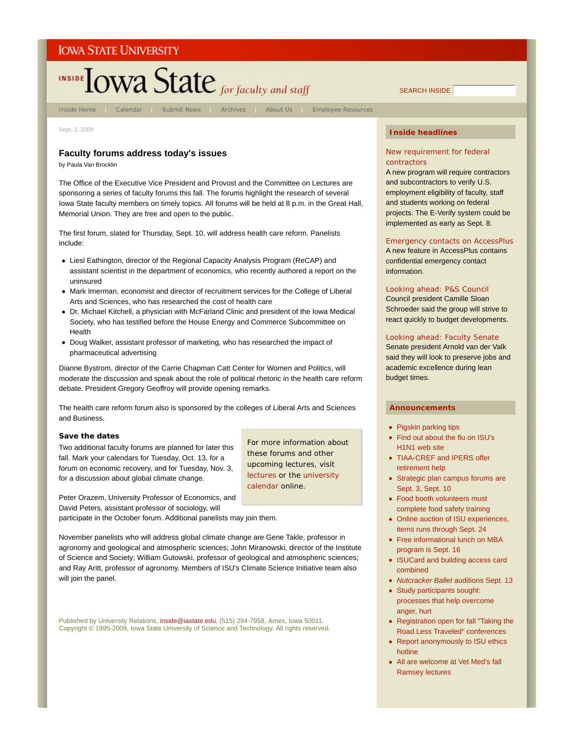

Sept. 3, 2009

#### **Faculty forums address today's issues**

by Paula Van Brocklin

The Office of the Executive Vice President and Provost and the Committee on Lectures are sponsoring a series of faculty forums this fall. The forums highlight the research of several Iowa State faculty members on timely topics. All forums will be held at 8 p.m. in the Great Hall, Memorial Union. They are free and open to the public.

The first forum, slated for Thursday, Sept. 10, will address health care reform. Panelists include:

- Liesl Eathington, director of the Regional Capacity Analysis Program (ReCAP) and assistant scientist in the department of economics, who recently authored a report on the uninsured
- Mark Imerman, economist and director of recruitment services for the College of Liberal Arts and Sciences, who has researched the cost of health care
- Dr. Michael Kitchell, a physician with McFarland Clinic and president of the Iowa Medical Society, who has testified before the House Energy and Commerce Subcommittee on Health
- Doug Walker, assistant professor of marketing, who has researched the impact of pharmaceutical advertising

Dianne Bystrom, director of the Carrie Chapman Catt Center for Women and Politics, will moderate the discussion and speak about the role of political rhetoric in the health care reform debate. President Gregory Geoffroy will provide opening remarks.

The health care reform forum also is sponsored by the colleges of Liberal Arts and Sciences and Business.

> For more information about these forums and other upcoming lectures, visit lectures or the university

calendar online.

#### **Save the dates**

Two additional faculty forums are planned for later this fall. Mark your calendars for Tuesday, Oct. 13, for a forum on economic recovery, and for Tuesday, Nov. 3, for a discussion about global climate change.

Peter Orazem, University Professor of Economics, and David Peters, assistant professor of sociology, will

participate in the October forum. Additional panelists may join them.

November panelists who will address global climate change are Gene Takle, professor in agronomy and geological and atmospheric sciences; John Miranowski, director of the Institute of Science and Society; William Gutowski, professor of geological and atmospheric sciences; and Ray Aritt, professor of agronomy. Members of ISU's Climate Science Initiative team also will join the panel.

Published by University Relations, i**nside@iastate.edu**, (515) 294-7958, Ames, Iowa 50011.<br>Copyright © 1995-2009, Iowa State University of Science and Technology. All rights reserved.

#### **Inside headlines**

#### New requirement for federal contractors

A new program will require contractors and subcontractors to verify U.S. employment eligibility of faculty, staff and students working on federal projects. The E-Verify system could be implemented as early as Sept. 8.

#### Emergency contacts on AccessPlus

A new feature in AccessPlus contains confidential emergency contact information.

#### Looking ahead: P&S Council

Council president Camille Sloan Schroeder said the group will strive to react quickly to budget developments.

#### Looking ahead: Faculty Senate

Senate president Arnold van der Valk said they will look to preserve jobs and academic excellence during lean budget times.

#### **Announcements**

- Pigskin parking tips
- Find out about the flu on ISU's H1N1 web site
- TIAA-CREF and IPERS offer retirement help
- Strategic plan campus forums are Sept. 3, Sept. 10
- Food booth volunteers must complete food safety training
- Online auction of ISU experiences, items runs through Sept. 24
- Free informational lunch on MBA program is Sept. 16
- ISUCard and building access card combined
- *Nutcracker Ballet* auditions Sept. 13
- Study participants sought: processes that help overcome anger, hurt
- Registration open for fall "Taking the Road Less Traveled" conferences
- Report anonymously to ISU ethics hotline
- All are welcome at Vet Med's fall Ramsey lectures

SEARCH INSIDE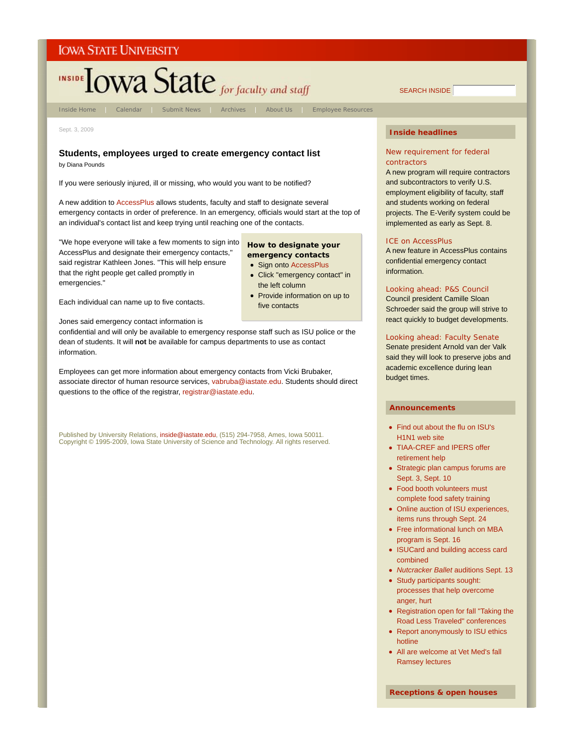

## **Students, employees urged to create emergency contact list**

by Diana Pounds

If you were seriously injured, ill or missing, who would you want to be notified?

A new addition to AccessPlus allows students, faculty and staff to designate several emergency contacts in order of preference. In an emergency, officials would start at the top of an individual's contact list and keep trying until reaching one of the contacts.

"We hope everyone will take a few moments to sign into AccessPlus and designate their emergency contacts," said registrar Kathleen Jones. "This will help ensure that the right people get called promptly in emergencies."

#### **How to designate your emergency contacts**

- Sign onto AccessPlus
- Click "emergency contact" in the left column
- Provide information on up to five contacts

Each individual can name up to five contacts.

Jones said emergency contact information is

confidential and will only be available to emergency response staff such as ISU police or the dean of students. It will **not** be available for campus departments to use as contact information.

Employees can get more information about emergency contacts from Vicki Brubaker, associate director of human resource services, vabruba@iastate.edu. Students should direct questions to the office of the registrar, registrar@iastate.edu.

Published by University Relations, inside@iastate.edu, (515) 294-7958, Ames, Iowa 50011. Copyright © 1995-2009, Iowa State University of Science and Technology. All rights reserved.

#### New requirement for federal contractors

A new program will require contractors and subcontractors to verify U.S. employment eligibility of faculty, staff and students working on federal projects. The E-Verify system could be implemented as early as Sept. 8.

#### ICE on AccessPlus

A new feature in AccessPlus contains confidential emergency contact information.

#### Looking ahead: P&S Council

Council president Camille Sloan Schroeder said the group will strive to react quickly to budget developments.

#### Looking ahead: Faculty Senate

Senate president Arnold van der Valk said they will look to preserve jobs and academic excellence during lean budget times.

#### **Announcements**

- Find out about the flu on ISU's H1N1 web site
- TIAA-CREF and IPERS offer retirement help
- Strategic plan campus forums are Sept. 3, Sept. 10
- Food booth volunteers must complete food safety training
- Online auction of ISU experiences, items runs through Sept. 24
- Free informational lunch on MBA program is Sept. 16
- ISUCard and building access card combined
- *Nutcracker Ballet* auditions Sept. 13
- Study participants sought: processes that help overcome anger, hurt
- Registration open for fall "Taking the Road Less Traveled" conferences
- Report anonymously to ISU ethics hotline
- All are welcome at Vet Med's fall Ramsey lectures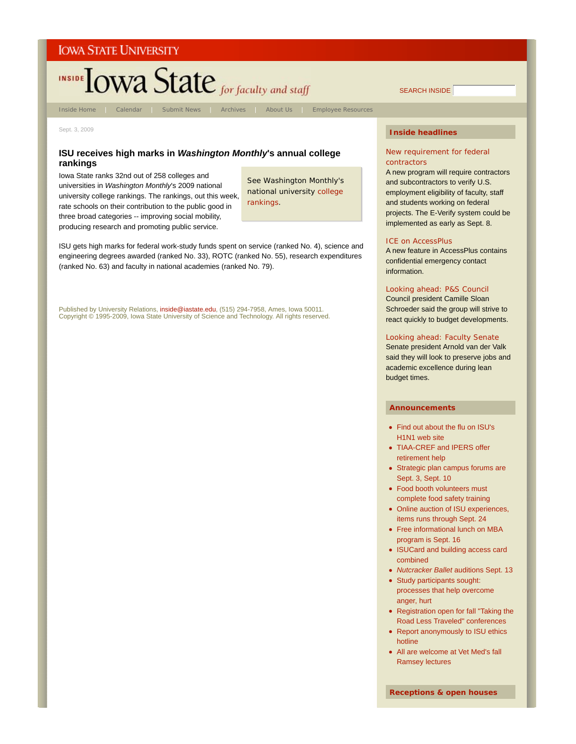

Inside Home | Calendar | Submit News | Archives | About Us | Employee Resources

SEARCH INSIDE

Sept. 3, 2009

#### **ISU receives high marks in** *Washington Monthly***'s annual college rankings**

Iowa State ranks 32nd out of 258 colleges and universities in *Washington Monthly*'s 2009 national university college rankings. The rankings, out this week, rate schools on their contribution to the public good in three broad categories -- improving social mobility, producing research and promoting public service.

See *Washington Monthly*'s national university college rankings.

ISU gets high marks for federal work-study funds spent on service (ranked No. 4), science and engineering degrees awarded (ranked No. 33), ROTC (ranked No. 55), research expenditures (ranked No. 63) and faculty in national academies (ranked No. 79).

Published by University Relations, inside@iastate.edu, (515) 294-7958, Ames, Iowa 50011. Copyright © 1995-2009, Iowa State University of Science and Technology. All rights reserved.

#### **Inside headlines**

#### New requirement for federal contractors

A new program will require contractors and subcontractors to verify U.S. employment eligibility of faculty, staff and students working on federal projects. The E-Verify system could be implemented as early as Sept. 8.

#### ICE on AccessPlus

A new feature in AccessPlus contains confidential emergency contact information.

#### Looking ahead: P&S Council

Council president Camille Sloan Schroeder said the group will strive to react quickly to budget developments.

#### Looking ahead: Faculty Senate

Senate president Arnold van der Valk said they will look to preserve jobs and academic excellence during lean budget times.

#### **Announcements**

- Find out about the flu on ISU's H1N1 web site
- TIAA-CREF and IPERS offer retirement help
- Strategic plan campus forums are Sept. 3, Sept. 10
- Food booth volunteers must complete food safety training
- Online auction of ISU experiences, items runs through Sept. 24
- Free informational lunch on MBA program is Sept. 16
- ISUCard and building access card combined
- *Nutcracker Ballet* auditions Sept. 13
- Study participants sought: processes that help overcome anger, hurt
- Registration open for fall "Taking the Road Less Traveled" conferences
- Report anonymously to ISU ethics hotline
- All are welcome at Vet Med's fall Ramsey lectures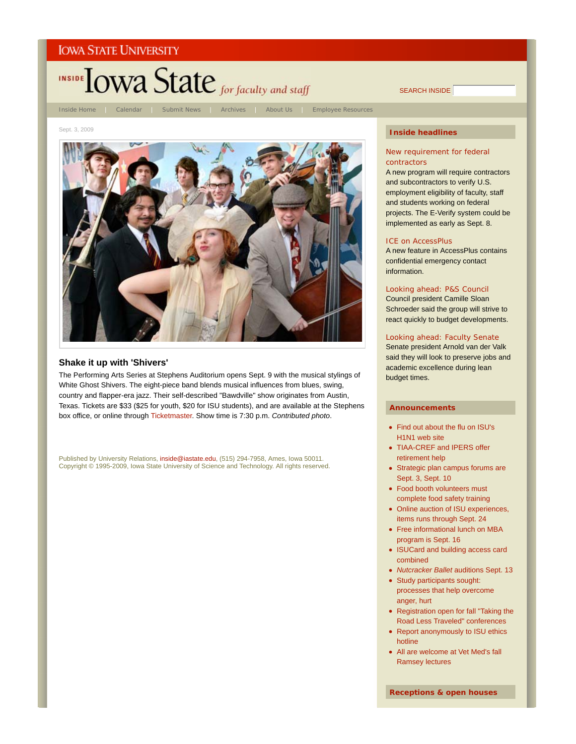

SEARCH INSIDE

#### Sept. 3, 2009



#### **Shake it up with 'Shivers'**

The Performing Arts Series at Stephens Auditorium opens Sept. 9 with the musical stylings of White Ghost Shivers. The eight-piece band blends musical influences from blues, swing, country and flapper-era jazz. Their self-described "Bawdville" show originates from Austin, Texas. Tickets are \$33 (\$25 for youth, \$20 for ISU students), and are available at the Stephens box office, or online through Ticketmaster. Show time is 7:30 p.m. *Contributed photo*.

Published by University Relations, inside@iastate.edu, (515) 294-7958, Ames, Iowa 50011. Copyright © 1995-2009, Iowa State University of Science and Technology. All rights reserved.

#### **Inside headlines**

#### New requirement for federal contractors

A new program will require contractors and subcontractors to verify U.S. employment eligibility of faculty, staff and students working on federal projects. The E-Verify system could be implemented as early as Sept. 8.

#### ICE on AccessPlus

A new feature in AccessPlus contains confidential emergency contact information.

#### Looking ahead: P&S Council

Council president Camille Sloan Schroeder said the group will strive to react quickly to budget developments.

#### Looking ahead: Faculty Senate

Senate president Arnold van der Valk said they will look to preserve jobs and academic excellence during lean budget times.

#### **Announcements**

- Find out about the flu on ISU's H1N1 web site
- TIAA-CREF and IPERS offer retirement help
- Strategic plan campus forums are Sept. 3, Sept. 10
- Food booth volunteers must complete food safety training
- Online auction of ISU experiences, items runs through Sept. 24
- Free informational lunch on MBA program is Sept. 16
- ISUCard and building access card combined
- *Nutcracker Ballet* auditions Sept. 13
- Study participants sought: processes that help overcome anger, hurt
- Registration open for fall "Taking the Road Less Traveled" conferences
- Report anonymously to ISU ethics hotline
- All are welcome at Vet Med's fall Ramsey lectures